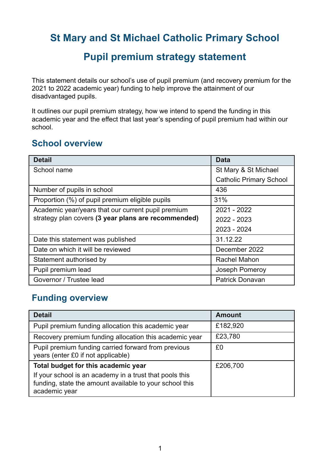## **St Mary and St Michael Catholic Primary School**

## **Pupil premium strategy statement**

This statement details our school's use of pupil premium (and recovery premium for the 2021 to 2022 academic year) funding to help improve the attainment of our disadvantaged pupils.

It outlines our pupil premium strategy, how we intend to spend the funding in this academic year and the effect that last year's spending of pupil premium had within our school.

### **School overview**

| <b>Detail</b>                                       | <b>Data</b>                    |
|-----------------------------------------------------|--------------------------------|
| School name                                         | St Mary & St Michael           |
|                                                     | <b>Catholic Primary School</b> |
| Number of pupils in school                          | 436                            |
| Proportion (%) of pupil premium eligible pupils     | 31%                            |
| Academic year/years that our current pupil premium  | 2021 - 2022                    |
| strategy plan covers (3 year plans are recommended) | 2022 - 2023                    |
|                                                     | 2023 - 2024                    |
| Date this statement was published                   | 31.12.22                       |
| Date on which it will be reviewed                   | December 2022                  |
| Statement authorised by                             | Rachel Mahon                   |
| Pupil premium lead                                  | Joseph Pomeroy                 |
| Governor / Trustee lead                             | <b>Patrick Donavan</b>         |

#### **Funding overview**

| <b>Detail</b>                                                                                                                       | <b>Amount</b> |
|-------------------------------------------------------------------------------------------------------------------------------------|---------------|
| Pupil premium funding allocation this academic year                                                                                 | £182,920      |
| Recovery premium funding allocation this academic year                                                                              | £23,780       |
| Pupil premium funding carried forward from previous<br>years (enter £0 if not applicable)                                           | £0            |
| Total budget for this academic year                                                                                                 | £206,700      |
| If your school is an academy in a trust that pools this<br>funding, state the amount available to your school this<br>academic year |               |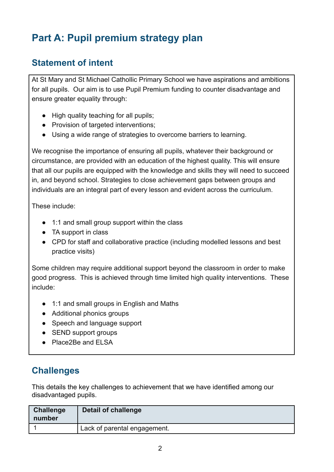# **Part A: Pupil premium strategy plan**

### **Statement of intent**

At St Mary and St Michael Cathollic Primary School we have aspirations and ambitions for all pupils. Our aim is to use Pupil Premium funding to counter disadvantage and ensure greater equality through:

- High quality teaching for all pupils;
- Provision of targeted interventions;
- Using a wide range of strategies to overcome barriers to learning.

We recognise the importance of ensuring all pupils, whatever their background or circumstance, are provided with an education of the highest quality. This will ensure that all our pupils are equipped with the knowledge and skills they will need to succeed in, and beyond school. Strategies to close achievement gaps between groups and individuals are an integral part of every lesson and evident across the curriculum.

These include:

- 1:1 and small group support within the class
- TA support in class
- CPD for staff and collaborative practice (including modelled lessons and best practice visits)

Some children may require additional support beyond the classroom in order to make good progress. This is achieved through time limited high quality interventions. These include:

- 1:1 and small groups in English and Maths
- Additional phonics groups
- Speech and language support
- SEND support groups
- Place2Be and ELSA

### **Challenges**

This details the key challenges to achievement that we have identified among our disadvantaged pupils.

| <b>Challenge</b><br>number | Detail of challenge          |
|----------------------------|------------------------------|
|                            | Lack of parental engagement. |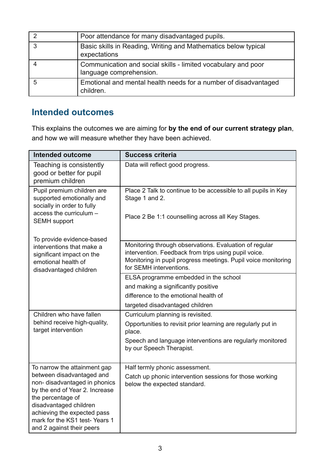| ႒  | Poor attendance for many disadvantaged pupils.                                           |
|----|------------------------------------------------------------------------------------------|
| -3 | Basic skills in Reading, Writing and Mathematics below typical<br>expectations           |
|    | Communication and social skills - limited vocabulary and poor<br>language comprehension. |
|    | Emotional and mental health needs for a number of disadvantaged<br>children.             |

## **Intended outcomes**

This explains the outcomes we are aiming for **by the end of our current strategy plan**, and how we will measure whether they have been achieved.

| <b>Intended outcome</b>                                                                                                                                                                                                                 | <b>Success criteria</b>                                                                                                                                                                                    |
|-----------------------------------------------------------------------------------------------------------------------------------------------------------------------------------------------------------------------------------------|------------------------------------------------------------------------------------------------------------------------------------------------------------------------------------------------------------|
| Teaching is consistently<br>good or better for pupil<br>premium children                                                                                                                                                                | Data will reflect good progress.                                                                                                                                                                           |
| Pupil premium children are<br>supported emotionally and<br>socially in order to fully<br>access the curriculum -<br><b>SEMH</b> support                                                                                                 | Place 2 Talk to continue to be accessible to all pupils in Key<br>Stage 1 and 2.<br>Place 2 Be 1:1 counselling across all Key Stages.                                                                      |
| To provide evidence-based                                                                                                                                                                                                               |                                                                                                                                                                                                            |
| interventions that make a<br>significant impact on the<br>emotional health of<br>disadvantaged children                                                                                                                                 | Monitoring through observations. Evaluation of regular<br>intervention. Feedback from trips using pupil voice.<br>Monitoring in pupil progress meetings. Pupil voice monitoring<br>for SEMH interventions. |
|                                                                                                                                                                                                                                         | ELSA programme embedded in the school                                                                                                                                                                      |
|                                                                                                                                                                                                                                         | and making a significantly positive                                                                                                                                                                        |
|                                                                                                                                                                                                                                         | difference to the emotional health of                                                                                                                                                                      |
|                                                                                                                                                                                                                                         | targeted disadvantaged children                                                                                                                                                                            |
| Children who have fallen                                                                                                                                                                                                                | Curriculum planning is revisited.                                                                                                                                                                          |
| behind receive high-quality,<br>target intervention                                                                                                                                                                                     | Opportunities to revisit prior learning are regularly put in<br>place.                                                                                                                                     |
|                                                                                                                                                                                                                                         | Speech and language interventions are regularly monitored<br>by our Speech Therapist.                                                                                                                      |
| To narrow the attainment gap                                                                                                                                                                                                            | Half termly phonic assessment.                                                                                                                                                                             |
| between disadvantaged and<br>non-disadvantaged in phonics<br>by the end of Year 2. Increase<br>the percentage of<br>disadvantaged children<br>achieving the expected pass<br>mark for the KS1 test-Years 1<br>and 2 against their peers | Catch up phonic intervention sessions for those working<br>below the expected standard.                                                                                                                    |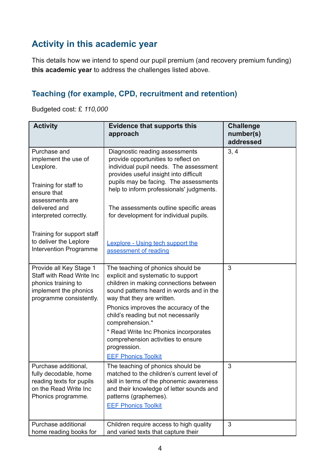## **Activity in this academic year**

This details how we intend to spend our pupil premium (and recovery premium funding) **this academic year** to address the challenges listed above.

#### **Teaching (for example, CPD, recruitment and retention)**

Budgeted cost: £ *110,000*

| <b>Activity</b>                                                                                                                 | <b>Evidence that supports this</b><br>approach                                                                                                                                                                                 | <b>Challenge</b><br>number(s)<br>addressed |
|---------------------------------------------------------------------------------------------------------------------------------|--------------------------------------------------------------------------------------------------------------------------------------------------------------------------------------------------------------------------------|--------------------------------------------|
| Purchase and<br>implement the use of<br>Lexplore.                                                                               | Diagnostic reading assessments<br>provide opportunities to reflect on<br>individual pupil needs. The assessment<br>provides useful insight into difficult                                                                      | 3, 4                                       |
| Training for staff to<br>ensure that<br>assessments are                                                                         | pupils may be facing. The assessments<br>help to inform professionals' judgments.                                                                                                                                              |                                            |
| delivered and<br>interpreted correctly.                                                                                         | The assessments outline specific areas<br>for development for individual pupils.                                                                                                                                               |                                            |
| Training for support staff<br>to deliver the Leplore<br><b>Intervention Programme</b>                                           | <b>Lexplore - Using tech support the</b><br>assessment of reading                                                                                                                                                              |                                            |
| Provide all Key Stage 1<br>Staff with Read Write Inc<br>phonics training to<br>implement the phonics<br>programme consistently. | The teaching of phonics should be<br>explicit and systematic to support<br>children in making connections between<br>sound patterns heard in words and in the<br>way that they are written.                                    | 3                                          |
|                                                                                                                                 | Phonics improves the accuracy of the<br>child's reading but not necessarily<br>comprehension.*                                                                                                                                 |                                            |
|                                                                                                                                 | * Read Write Inc Phonics incorporates<br>comprehension activities to ensure<br>progression.                                                                                                                                    |                                            |
|                                                                                                                                 | <b>EEF Phonics Toolkit</b>                                                                                                                                                                                                     |                                            |
| Purchase additional,<br>fully decodable, home<br>reading texts for pupils<br>on the Read Write Inc<br>Phonics programme.        | The teaching of phonics should be<br>matched to the children's current level of<br>skill in terms of the phonemic awareness<br>and their knowledge of letter sounds and<br>patterns (graphemes).<br><b>EEF Phonics Toolkit</b> | 3                                          |
| Purchase additional<br>home reading books for                                                                                   | Children require access to high quality<br>and varied texts that capture their                                                                                                                                                 | 3                                          |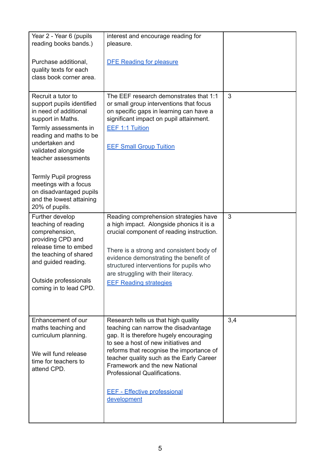| Year 2 - Year 6 (pupils<br>reading books bands.)                                                                                                                                                                  | interest and encourage reading for<br>pleasure.                                                                                                                                                                                                                                                                                                                                |     |
|-------------------------------------------------------------------------------------------------------------------------------------------------------------------------------------------------------------------|--------------------------------------------------------------------------------------------------------------------------------------------------------------------------------------------------------------------------------------------------------------------------------------------------------------------------------------------------------------------------------|-----|
| Purchase additional,<br>quality texts for each<br>class book corner area.                                                                                                                                         | <b>DFE Reading for pleasure</b>                                                                                                                                                                                                                                                                                                                                                |     |
| Recruit a tutor to<br>support pupils identified<br>in need of additional<br>support in Maths.<br>Termly assessments in<br>reading and maths to be<br>undertaken and<br>validated alongside<br>teacher assessments | The EEF research demonstrates that 1:1<br>or small group interventions that focus<br>on specific gaps in learning can have a<br>significant impact on pupil attainment.<br><b>EEF 1:1 Tuition</b><br><b>EEF Small Group Tuition</b>                                                                                                                                            | 3   |
| <b>Termly Pupil progress</b><br>meetings with a focus<br>on disadvantaged pupils<br>and the lowest attaining<br>20% of pupils.                                                                                    |                                                                                                                                                                                                                                                                                                                                                                                |     |
| Further develop<br>teaching of reading<br>comprehension,<br>providing CPD and<br>release time to embed<br>the teaching of shared<br>and guided reading.                                                           | Reading comprehension strategies have<br>a high impact. Alongside phonics it is a<br>crucial component of reading instruction.<br>There is a strong and consistent body of<br>evidence demonstrating the benefit of<br>structured interventions for pupils who<br>are struggling with their literacy.                                                                          | 3   |
| Outside professionals<br>coming in to lead CPD.                                                                                                                                                                   | <b>EEF Reading strategies</b>                                                                                                                                                                                                                                                                                                                                                  |     |
| Enhancement of our<br>maths teaching and<br>curriculum planning.<br>We will fund release<br>time for teachers to<br>attend CPD.                                                                                   | Research tells us that high quality<br>teaching can narrow the disadvantage<br>gap. It is therefore hugely encouraging<br>to see a host of new initiatives and<br>reforms that recognise the importance of<br>teacher quality such as the Early Career<br>Framework and the new National<br>Professional Qualifications.<br><b>EEF - Effective professional</b><br>development | 3,4 |
|                                                                                                                                                                                                                   |                                                                                                                                                                                                                                                                                                                                                                                |     |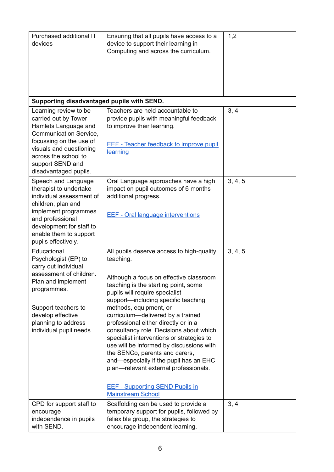| Purchased additional IT<br>devices                                                                                                                                                                                         | Ensuring that all pupils have access to a<br>device to support their learning in<br>Computing and across the curriculum.                                                                                                                                                                                                                                                                                                                                                                                                                                                                                                                                 | 1,2     |
|----------------------------------------------------------------------------------------------------------------------------------------------------------------------------------------------------------------------------|----------------------------------------------------------------------------------------------------------------------------------------------------------------------------------------------------------------------------------------------------------------------------------------------------------------------------------------------------------------------------------------------------------------------------------------------------------------------------------------------------------------------------------------------------------------------------------------------------------------------------------------------------------|---------|
| Supporting disadvantaged pupils with SEND.                                                                                                                                                                                 |                                                                                                                                                                                                                                                                                                                                                                                                                                                                                                                                                                                                                                                          |         |
| Learning review to be<br>carried out by Tower<br>Hamlets Language and<br>Communication Service,<br>focussing on the use of<br>visuals and questioning<br>across the school to<br>support SEND and<br>disadvantaged pupils. | Teachers are held accountable to<br>provide pupils with meaningful feedback<br>to improve their learning.<br><b>EEF - Teacher feedback to improve pupil</b><br>learning                                                                                                                                                                                                                                                                                                                                                                                                                                                                                  | 3, 4    |
| Speech and Language<br>therapist to undertake<br>individual assessment of<br>children, plan and<br>implement programmes<br>and professional<br>development for staff to<br>enable them to support<br>pupils effectively.   | Oral Language approaches have a high<br>impact on pupil outcomes of 6 months<br>additional progress.<br><b>EEF - Oral language interventions</b>                                                                                                                                                                                                                                                                                                                                                                                                                                                                                                         | 3, 4, 5 |
| Educational<br>Psychologist (EP) to<br>carry out individual<br>assessment of children.<br>Plan and implement<br>programmes.<br>Support teachers to<br>develop effective<br>planning to address<br>individual pupil needs.  | All pupils deserve access to high-quality<br>teaching.<br>Although a focus on effective classroom<br>teaching is the starting point, some<br>pupils will require specialist<br>support-including specific teaching<br>methods, equipment, or<br>curriculum-delivered by a trained<br>professional either directly or in a<br>consultancy role. Decisions about which<br>specialist interventions or strategies to<br>use will be informed by discussions with<br>the SENCo, parents and carers,<br>and—especially if the pupil has an EHC<br>plan-relevant external professionals.<br><b>EEF - Supporting SEND Pupils in</b><br><b>Mainstream School</b> | 3, 4, 5 |
| CPD for support staff to<br>encourage<br>independence in pupils<br>with SEND.                                                                                                                                              | Scaffolding can be used to provide a<br>temporary support for pupils, followed by<br>feliexible group, the strategies to<br>encourage independent learning.                                                                                                                                                                                                                                                                                                                                                                                                                                                                                              | 3, 4    |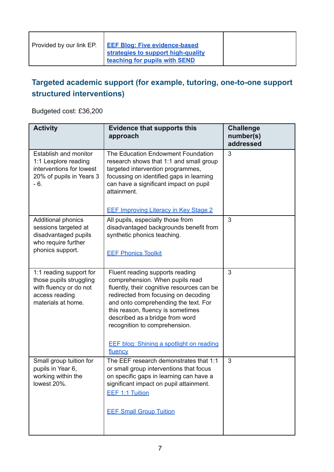### **Targeted academic support (for example, tutoring, one-to-one support structured interventions)**

Budgeted cost: £36,200

| <b>Activity</b>                                                                                                      | <b>Evidence that supports this</b><br>approach                                                                                                                                                                                                                                                                                                                          | <b>Challenge</b><br>number(s)<br>addressed |
|----------------------------------------------------------------------------------------------------------------------|-------------------------------------------------------------------------------------------------------------------------------------------------------------------------------------------------------------------------------------------------------------------------------------------------------------------------------------------------------------------------|--------------------------------------------|
| Establish and monitor<br>1:1 Lexplore reading<br>interventions for lowest<br>20% of pupils in Years 3<br>$-6.$       | The Education Endowment Foundation<br>research shows that 1:1 and small group<br>targeted intervention programmes,<br>focussing on identified gaps in learning<br>can have a significant impact on pupil<br>attainment.                                                                                                                                                 | 3                                          |
|                                                                                                                      | <b>EEF Improving Literacy in Key Stage 2</b>                                                                                                                                                                                                                                                                                                                            |                                            |
| Additional phonics<br>sessions targeted at<br>disadvantaged pupils<br>who require further<br>phonics support.        | All pupils, especially those from<br>disadvantaged backgrounds benefit from<br>synthetic phonics teaching.<br><b>EEF Phonics Toolkit</b>                                                                                                                                                                                                                                | 3                                          |
| 1:1 reading support for<br>those pupils struggling<br>with fluency or do not<br>access reading<br>materials at home. | Fluent reading supports reading<br>comprehension. When pupils read<br>fluently, their cognitive resources can be<br>redirected from focusing on decoding<br>and onto comprehending the text. For<br>this reason, fluency is sometimes<br>described as a bridge from word<br>recognition to comprehension.<br><b>EEF blog: Shining a spotlight on reading</b><br>fluency | 3                                          |
| Small group tuition for<br>pupils in Year 6,<br>working within the<br>lowest 20%.                                    | The EEF research demonstrates that 1:1<br>or small group interventions that focus<br>on specific gaps in learning can have a<br>significant impact on pupil attainment.<br><b>EEF 1:1 Tuition</b><br><b>EEF Small Group Tuition</b>                                                                                                                                     | 3                                          |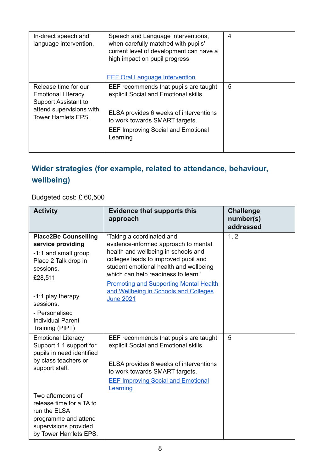| In-direct speech and<br>language intervention.        | Speech and Language interventions,<br>when carefully matched with pupils'<br>current level of development can have a<br>high impact on pupil progress.<br><b>EEF Oral Language Intervention</b> | 4 |
|-------------------------------------------------------|-------------------------------------------------------------------------------------------------------------------------------------------------------------------------------------------------|---|
| Release time for our                                  | EEF recommends that pupils are taught                                                                                                                                                           | 5 |
| <b>Emotional Literacy</b>                             | explicit Social and Emotional skills.                                                                                                                                                           |   |
| <b>Support Assistant to</b>                           |                                                                                                                                                                                                 |   |
| attend supervisions with<br><b>Tower Hamlets EPS.</b> | ELSA provides 6 weeks of interventions                                                                                                                                                          |   |
|                                                       | to work towards SMART targets.                                                                                                                                                                  |   |
|                                                       | <b>EEF Improving Social and Emotional</b>                                                                                                                                                       |   |
|                                                       | Learning                                                                                                                                                                                        |   |
|                                                       |                                                                                                                                                                                                 |   |

## **Wider strategies (for example, related to attendance, behaviour, wellbeing)**

Budgeted cost: £ 60,500

| <b>Activity</b>                                                                                                                         | <b>Evidence that supports this</b><br>approach                                                                                                                                                                                                                                     | <b>Challenge</b><br>number(s)<br>addressed |
|-----------------------------------------------------------------------------------------------------------------------------------------|------------------------------------------------------------------------------------------------------------------------------------------------------------------------------------------------------------------------------------------------------------------------------------|--------------------------------------------|
| <b>Place2Be Counselling</b><br>service providing<br>-1:1 and small group<br>Place 2 Talk drop in<br>sessions.<br>£28,511                | 'Taking a coordinated and<br>evidence-informed approach to mental<br>health and wellbeing in schools and<br>colleges leads to improved pupil and<br>student emotional health and wellbeing<br>which can help readiness to learn.'<br><b>Promoting and Supporting Mental Health</b> | 1, 2                                       |
| -1:1 play therapy<br>sessions.                                                                                                          | and Wellbeing in Schools and Colleges<br><b>June 2021</b>                                                                                                                                                                                                                          |                                            |
| - Personalised<br><b>Individual Parent</b><br>Training (PIPT)                                                                           |                                                                                                                                                                                                                                                                                    |                                            |
| <b>Emotional Literacy</b><br>Support 1:1 support for<br>pupils in need identified                                                       | EEF recommends that pupils are taught<br>explicit Social and Emotional skills.                                                                                                                                                                                                     | 5                                          |
| by class teachers or<br>support staff.                                                                                                  | ELSA provides 6 weeks of interventions<br>to work towards SMART targets.                                                                                                                                                                                                           |                                            |
|                                                                                                                                         | <b>EEF Improving Social and Emotional</b><br><b>Learning</b>                                                                                                                                                                                                                       |                                            |
| Two afternoons of<br>release time for a TA to<br>run the ELSA<br>programme and attend<br>supervisions provided<br>by Tower Hamlets EPS. |                                                                                                                                                                                                                                                                                    |                                            |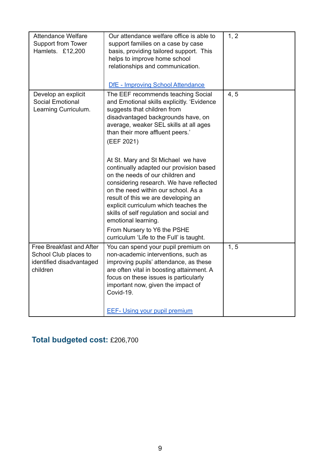| <b>Attendance Welfare</b><br>Support from Tower<br>Hamlets. £12,200                       | Our attendance welfare office is able to<br>support families on a case by case<br>basis, providing tailored support. This<br>helps to improve home school<br>relationships and communication.<br>DfE - Improving School Attendance                                                                                                                                                                                                                                                                                                                                                                                                                                                     | 1, 2 |
|-------------------------------------------------------------------------------------------|----------------------------------------------------------------------------------------------------------------------------------------------------------------------------------------------------------------------------------------------------------------------------------------------------------------------------------------------------------------------------------------------------------------------------------------------------------------------------------------------------------------------------------------------------------------------------------------------------------------------------------------------------------------------------------------|------|
| Develop an explicit<br><b>Social Emotional</b><br>Learning Curriculum.                    | The EEF recommends teaching Social<br>and Emotional skills explicitly. 'Evidence<br>suggests that children from<br>disadvantaged backgrounds have, on<br>average, weaker SEL skills at all ages<br>than their more affluent peers.'<br>(EEF 2021)<br>At St. Mary and St Michael we have<br>continually adapted our provision based<br>on the needs of our children and<br>considering research. We have reflected<br>on the need within our school. As a<br>result of this we are developing an<br>explicit curriculum which teaches the<br>skills of self regulation and social and<br>emotional learning.<br>From Nursery to Y6 the PSHE<br>curriculum 'Life to the Full' is taught. | 4, 5 |
| Free Breakfast and After<br>School Club places to<br>identified disadvantaged<br>children | You can spend your pupil premium on<br>non-academic interventions, such as<br>improving pupils' attendance, as these<br>are often vital in boosting attainment. A<br>focus on these issues is particularly<br>important now, given the impact of<br>Covid-19.<br><b>EEF- Using your pupil premium</b>                                                                                                                                                                                                                                                                                                                                                                                  | 1, 5 |

## **Total budgeted cost:** £206,700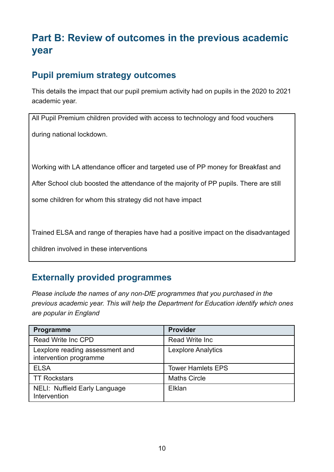# **Part B: Review of outcomes in the previous academic year**

### **Pupil premium strategy outcomes**

This details the impact that our pupil premium activity had on pupils in the 2020 to 2021 academic year.

All Pupil Premium children provided with access to technology and food vouchers during national lockdown.

Working with LA attendance officer and targeted use of PP money for Breakfast and

After School club boosted the attendance of the majority of PP pupils. There are still

some children for whom this strategy did not have impact

Trained ELSA and range of therapies have had a positive impact on the disadvantaged

children involved in these interventions

### **Externally provided programmes**

*Please include the names of any non-DfE programmes that you purchased in the previous academic year. This will help the Department for Education identify which ones are popular in England*

| Programme                                                 | <b>Provider</b>           |
|-----------------------------------------------------------|---------------------------|
| Read Write Inc CPD                                        | <b>Read Write Inc.</b>    |
| Lexplore reading assessment and<br>intervention programme | <b>Lexplore Analytics</b> |
| <b>ELSA</b>                                               | <b>Tower Hamlets EPS</b>  |
| <b>TT Rockstars</b>                                       | <b>Maths Circle</b>       |
| <b>NELI: Nuffield Early Language</b><br>Intervention      | Elklan                    |